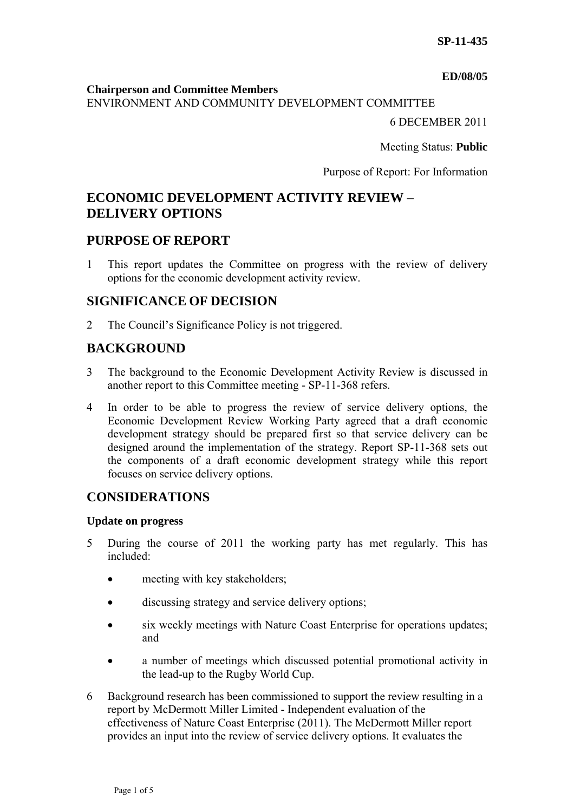#### **ED/08/05**

#### **Chairperson and Committee Members**

ENVIRONMENT AND COMMUNITY DEVELOPMENT COMMITTEE

6 DECEMBER 2011

Meeting Status: **Public**

Purpose of Report: For Information

# **ECONOMIC DEVELOPMENT ACTIVITY REVIEW – DELIVERY OPTIONS**

## **PURPOSE OF REPORT**

1 This report updates the Committee on progress with the review of delivery options for the economic development activity review.

## **SIGNIFICANCE OF DECISION**

2 The Council's Significance Policy is not triggered.

## **BACKGROUND**

- 3 The background to the Economic Development Activity Review is discussed in another report to this Committee meeting - SP-11-368 refers.
- 4 In order to be able to progress the review of service delivery options, the Economic Development Review Working Party agreed that a draft economic development strategy should be prepared first so that service delivery can be designed around the implementation of the strategy. Report SP-11-368 sets out the components of a draft economic development strategy while this report focuses on service delivery options.

## **CONSIDERATIONS**

### **Update on progress**

- 5 During the course of 2011 the working party has met regularly. This has included:
	- meeting with key stakeholders;
	- discussing strategy and service delivery options;
	- six weekly meetings with Nature Coast Enterprise for operations updates; and
	- a number of meetings which discussed potential promotional activity in the lead-up to the Rugby World Cup.
- 6 Background research has been commissioned to support the review resulting in a report by McDermott Miller Limited - Independent evaluation of the effectiveness of Nature Coast Enterprise (2011). The McDermott Miller report provides an input into the review of service delivery options. It evaluates the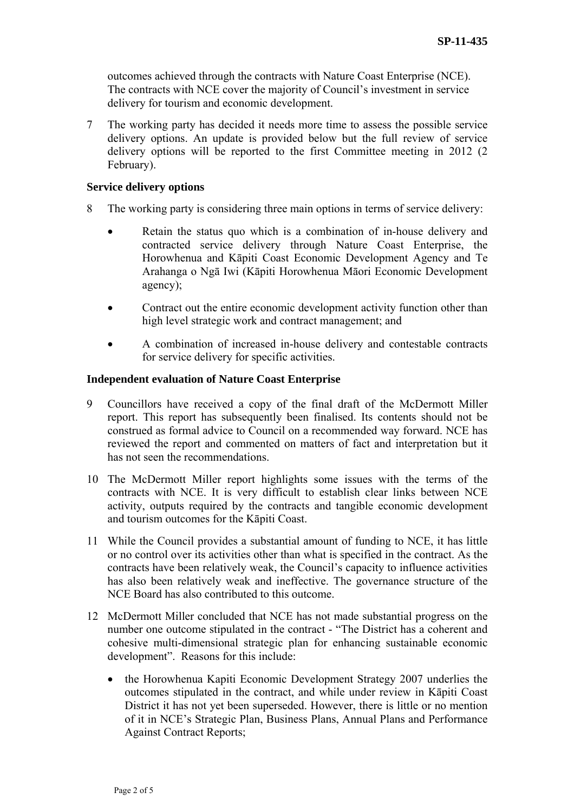outcomes achieved through the contracts with Nature Coast Enterprise (NCE). The contracts with NCE cover the majority of Council's investment in service delivery for tourism and economic development.

7 The working party has decided it needs more time to assess the possible service delivery options. An update is provided below but the full review of service delivery options will be reported to the first Committee meeting in 2012 (2 February).

#### **Service delivery options**

- 8 The working party is considering three main options in terms of service delivery:
	- Retain the status quo which is a combination of in-house delivery and contracted service delivery through Nature Coast Enterprise, the Horowhenua and Kāpiti Coast Economic Development Agency and Te Arahanga o Ngā Iwi (Kāpiti Horowhenua Māori Economic Development agency);
	- Contract out the entire economic development activity function other than high level strategic work and contract management; and
	- A combination of increased in-house delivery and contestable contracts for service delivery for specific activities.

#### **Independent evaluation of Nature Coast Enterprise**

- 9 Councillors have received a copy of the final draft of the McDermott Miller report. This report has subsequently been finalised. Its contents should not be construed as formal advice to Council on a recommended way forward. NCE has reviewed the report and commented on matters of fact and interpretation but it has not seen the recommendations.
- 10 The McDermott Miller report highlights some issues with the terms of the contracts with NCE. It is very difficult to establish clear links between NCE activity, outputs required by the contracts and tangible economic development and tourism outcomes for the Kāpiti Coast.
- 11 While the Council provides a substantial amount of funding to NCE, it has little or no control over its activities other than what is specified in the contract. As the contracts have been relatively weak, the Council's capacity to influence activities has also been relatively weak and ineffective. The governance structure of the NCE Board has also contributed to this outcome.
- 12 McDermott Miller concluded that NCE has not made substantial progress on the number one outcome stipulated in the contract - "The District has a coherent and cohesive multi-dimensional strategic plan for enhancing sustainable economic development". Reasons for this include:
	- the Horowhenua Kapiti Economic Development Strategy 2007 underlies the outcomes stipulated in the contract, and while under review in Kāpiti Coast District it has not yet been superseded. However, there is little or no mention of it in NCE's Strategic Plan, Business Plans, Annual Plans and Performance Against Contract Reports;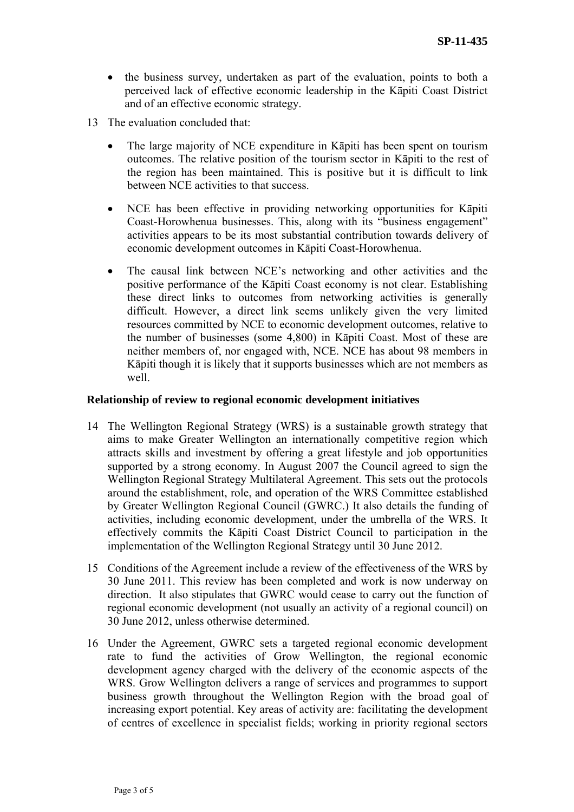- the business survey, undertaken as part of the evaluation, points to both a perceived lack of effective economic leadership in the Kāpiti Coast District and of an effective economic strategy.
- 13 The evaluation concluded that:
	- The large majority of NCE expenditure in Kāpiti has been spent on tourism outcomes. The relative position of the tourism sector in Kāpiti to the rest of the region has been maintained. This is positive but it is difficult to link between NCE activities to that success.
	- NCE has been effective in providing networking opportunities for Kāpiti Coast-Horowhenua businesses. This, along with its "business engagement" activities appears to be its most substantial contribution towards delivery of economic development outcomes in Kāpiti Coast-Horowhenua.
	- The causal link between NCE's networking and other activities and the positive performance of the Kāpiti Coast economy is not clear. Establishing these direct links to outcomes from networking activities is generally difficult. However, a direct link seems unlikely given the very limited resources committed by NCE to economic development outcomes, relative to the number of businesses (some 4,800) in Kāpiti Coast. Most of these are neither members of, nor engaged with, NCE. NCE has about 98 members in Kāpiti though it is likely that it supports businesses which are not members as well.

#### **Relationship of review to regional economic development initiatives**

- 14 The Wellington Regional Strategy (WRS) is a sustainable growth strategy that aims to make Greater Wellington an internationally competitive region which attracts skills and investment by offering a great lifestyle and job opportunities supported by a strong economy. In August 2007 the Council agreed to sign the Wellington Regional Strategy Multilateral Agreement. This sets out the protocols around the establishment, role, and operation of the WRS Committee established by Greater Wellington Regional Council (GWRC.) It also details the funding of activities, including economic development, under the umbrella of the WRS. It effectively commits the Kāpiti Coast District Council to participation in the implementation of the Wellington Regional Strategy until 30 June 2012.
- 15 Conditions of the Agreement include a review of the effectiveness of the WRS by 30 June 2011. This review has been completed and work is now underway on direction. It also stipulates that GWRC would cease to carry out the function of regional economic development (not usually an activity of a regional council) on 30 June 2012, unless otherwise determined.
- 16 Under the Agreement, GWRC sets a targeted regional economic development rate to fund the activities of Grow Wellington, the regional economic development agency charged with the delivery of the economic aspects of the WRS. Grow Wellington delivers a range of services and programmes to support business growth throughout the Wellington Region with the broad goal of increasing export potential. Key areas of activity are: facilitating the development of centres of excellence in specialist fields; working in priority regional sectors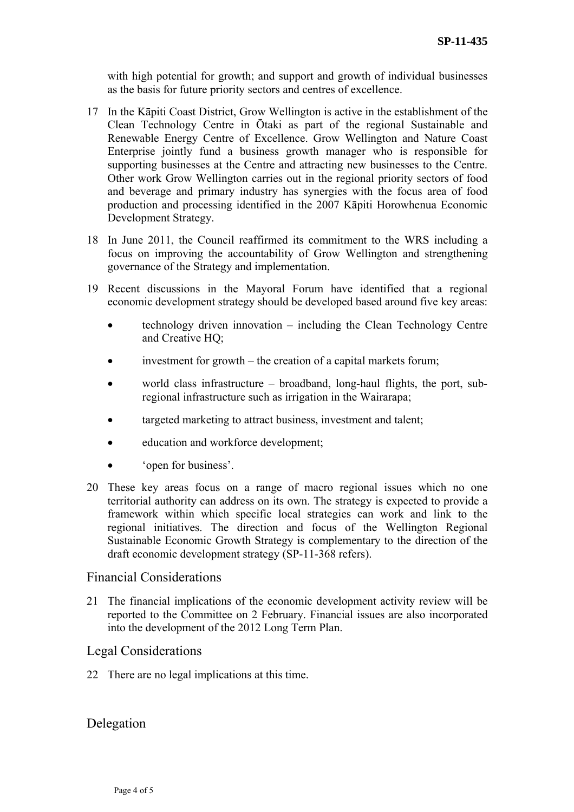with high potential for growth; and support and growth of individual businesses as the basis for future priority sectors and centres of excellence.

- 17 In the Kāpiti Coast District, Grow Wellington is active in the establishment of the Clean Technology Centre in Ōtaki as part of the regional Sustainable and Renewable Energy Centre of Excellence. Grow Wellington and Nature Coast Enterprise jointly fund a business growth manager who is responsible for supporting businesses at the Centre and attracting new businesses to the Centre. Other work Grow Wellington carries out in the regional priority sectors of food and beverage and primary industry has synergies with the focus area of food production and processing identified in the 2007 Kāpiti Horowhenua Economic Development Strategy.
- 18 In June 2011, the Council reaffirmed its commitment to the WRS including a focus on improving the accountability of Grow Wellington and strengthening governance of the Strategy and implementation.
- 19 Recent discussions in the Mayoral Forum have identified that a regional economic development strategy should be developed based around five key areas:
	- technology driven innovation including the Clean Technology Centre and Creative HQ;
	- investment for growth the creation of a capital markets forum;
	- world class infrastructure broadband, long-haul flights, the port, subregional infrastructure such as irrigation in the Wairarapa;
	- targeted marketing to attract business, investment and talent;
	- education and workforce development;
	- 'open for business'.
- 20 These key areas focus on a range of macro regional issues which no one territorial authority can address on its own. The strategy is expected to provide a framework within which specific local strategies can work and link to the regional initiatives. The direction and focus of the Wellington Regional Sustainable Economic Growth Strategy is complementary to the direction of the draft economic development strategy (SP-11-368 refers).

### Financial Considerations

21 The financial implications of the economic development activity review will be reported to the Committee on 2 February. Financial issues are also incorporated into the development of the 2012 Long Term Plan.

## Legal Considerations

22 There are no legal implications at this time.

Delegation